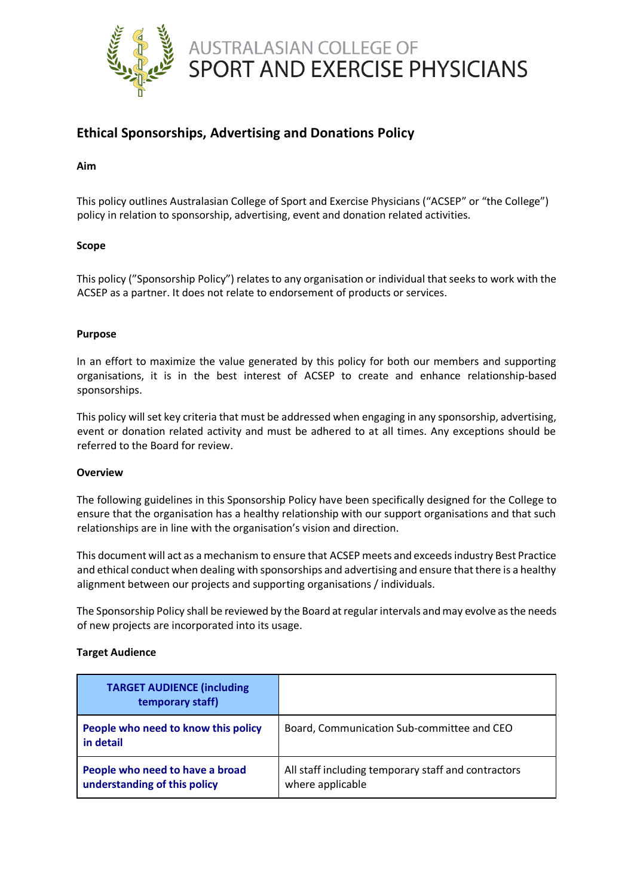

# **Ethical Sponsorships, Advertising and Donations Policy**

# **Aim**

This policy outlines Australasian College of Sport and Exercise Physicians ("ACSEP" or "the College") policy in relation to sponsorship, advertising, event and donation related activities.

# **Scope**

This policy ("Sponsorship Policy") relates to any organisation or individual that seeks to work with the ACSEP as a partner. It does not relate to endorsement of products or services.

# **Purpose**

In an effort to maximize the value generated by this policy for both our members and supporting organisations, it is in the best interest of ACSEP to create and enhance relationship-based sponsorships.

This policy will set key criteria that must be addressed when engaging in any sponsorship, advertising, event or donation related activity and must be adhered to at all times. Any exceptions should be referred to the Board for review.

# **Overview**

The following guidelines in this Sponsorship Policy have been specifically designed for the College to ensure that the organisation has a healthy relationship with our support organisations and that such relationships are in line with the organisation's vision and direction.

This document will act as a mechanism to ensure that ACSEP meets and exceeds industry Best Practice and ethical conduct when dealing with sponsorships and advertising and ensure that there is a healthy alignment between our projects and supporting organisations / individuals.

The Sponsorship Policy shall be reviewed by the Board at regular intervals and may evolve as the needs of new projects are incorporated into its usage.

# **Target Audience**

| <b>TARGET AUDIENCE (including</b><br>temporary staff)           |                                                                         |
|-----------------------------------------------------------------|-------------------------------------------------------------------------|
| People who need to know this policy<br>in detail                | Board, Communication Sub-committee and CEO                              |
| People who need to have a broad<br>understanding of this policy | All staff including temporary staff and contractors<br>where applicable |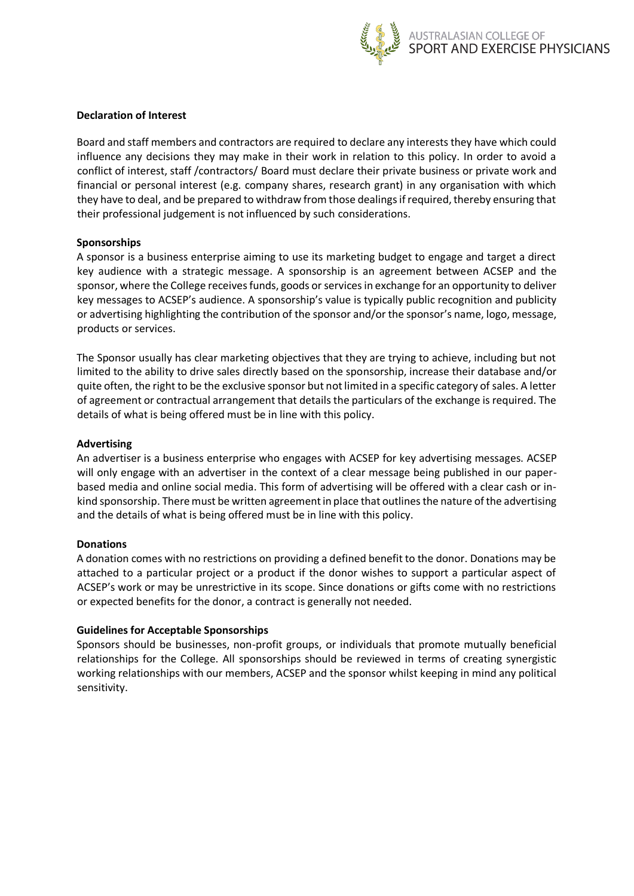

# **Declaration of Interest**

Board and staff members and contractors are required to declare any interests they have which could influence any decisions they may make in their work in relation to this policy. In order to avoid a conflict of interest, staff /contractors/ Board must declare their private business or private work and financial or personal interest (e.g. company shares, research grant) in any organisation with which they have to deal, and be prepared to withdraw from those dealings if required, thereby ensuring that their professional judgement is not influenced by such considerations.

# **Sponsorships**

A sponsor is a business enterprise aiming to use its marketing budget to engage and target a direct key audience with a strategic message. A sponsorship is an agreement between ACSEP and the sponsor, where the College receives funds, goods or services in exchange for an opportunity to deliver key messages to ACSEP's audience. A sponsorship's value is typically public recognition and publicity or advertising highlighting the contribution of the sponsor and/or the sponsor's name, logo, message, products or services.

The Sponsor usually has clear marketing objectives that they are trying to achieve, including but not limited to the ability to drive sales directly based on the sponsorship, increase their database and/or quite often, the right to be the exclusive sponsor but not limited in a specific category of sales. A letter of agreement or contractual arrangement that details the particulars of the exchange is required. The details of what is being offered must be in line with this policy.

# **Advertising**

An advertiser is a business enterprise who engages with ACSEP for key advertising messages. ACSEP will only engage with an advertiser in the context of a clear message being published in our paperbased media and online social media. This form of advertising will be offered with a clear cash or inkind sponsorship. There must be written agreement in place that outlines the nature of the advertising and the details of what is being offered must be in line with this policy.

# **Donations**

A donation comes with no restrictions on providing a defined benefit to the donor. Donations may be attached to a particular project or a product if the donor wishes to support a particular aspect of ACSEP's work or may be unrestrictive in its scope. Since donations or gifts come with no restrictions or expected benefits for the donor, a contract is generally not needed.

# **Guidelines for Acceptable Sponsorships**

Sponsors should be businesses, non-profit groups, or individuals that promote mutually beneficial relationships for the College. All sponsorships should be reviewed in terms of creating synergistic working relationships with our members, ACSEP and the sponsor whilst keeping in mind any political sensitivity.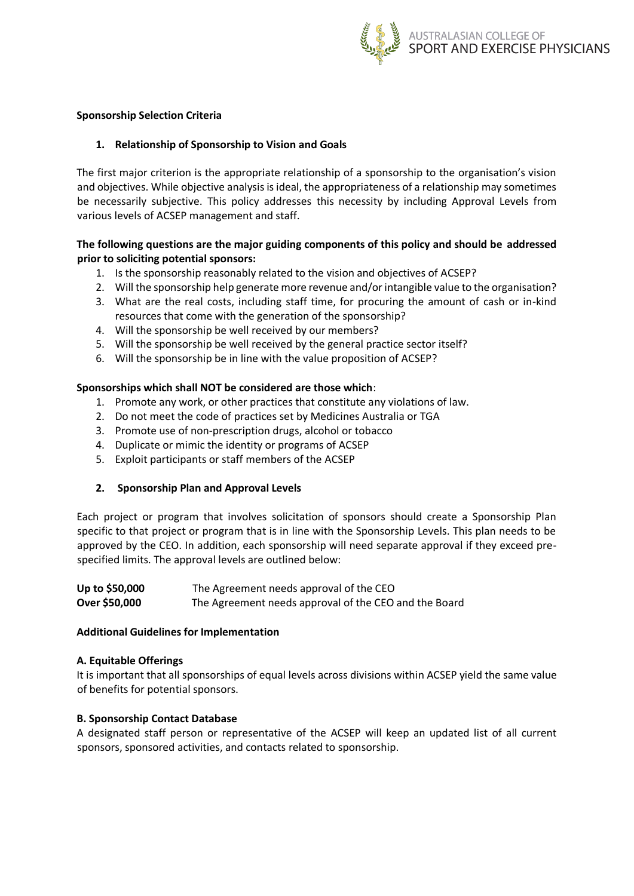

# **Sponsorship Selection Criteria**

#### **1. Relationship of Sponsorship to Vision and Goals**

The first major criterion is the appropriate relationship of a sponsorship to the organisation's vision and objectives. While objective analysis is ideal, the appropriateness of a relationship may sometimes be necessarily subjective. This policy addresses this necessity by including Approval Levels from various levels of ACSEP management and staff.

# **The following questions are the major guiding components of this policy and should be addressed prior to soliciting potential sponsors:**

- 1. Is the sponsorship reasonably related to the vision and objectives of ACSEP?
- 2. Will the sponsorship help generate more revenue and/or intangible value to the organisation?
- 3. What are the real costs, including staff time, for procuring the amount of cash or in-kind resources that come with the generation of the sponsorship?
- 4. Will the sponsorship be well received by our members?
- 5. Will the sponsorship be well received by the general practice sector itself?
- 6. Will the sponsorship be in line with the value proposition of ACSEP?

#### **Sponsorships which shall NOT be considered are those which**:

- 1. Promote any work, or other practices that constitute any violations of law.
- 2. Do not meet the code of practices set by Medicines Australia or TGA
- 3. Promote use of non-prescription drugs, alcohol or tobacco
- 4. Duplicate or mimic the identity or programs of ACSEP
- 5. Exploit participants or staff members of the ACSEP

# **2. Sponsorship Plan and Approval Levels**

Each project or program that involves solicitation of sponsors should create a Sponsorship Plan specific to that project or program that is in line with the Sponsorship Levels. This plan needs to be approved by the CEO. In addition, each sponsorship will need separate approval if they exceed prespecified limits. The approval levels are outlined below:

| Up to \$50,000 | The Agreement needs approval of the CEO               |
|----------------|-------------------------------------------------------|
| Over \$50,000  | The Agreement needs approval of the CEO and the Board |

#### **Additional Guidelines for Implementation**

#### **A. Equitable Offerings**

It is important that all sponsorships of equal levels across divisions within ACSEP yield the same value of benefits for potential sponsors.

#### **B. Sponsorship Contact Database**

A designated staff person or representative of the ACSEP will keep an updated list of all current sponsors, sponsored activities, and contacts related to sponsorship.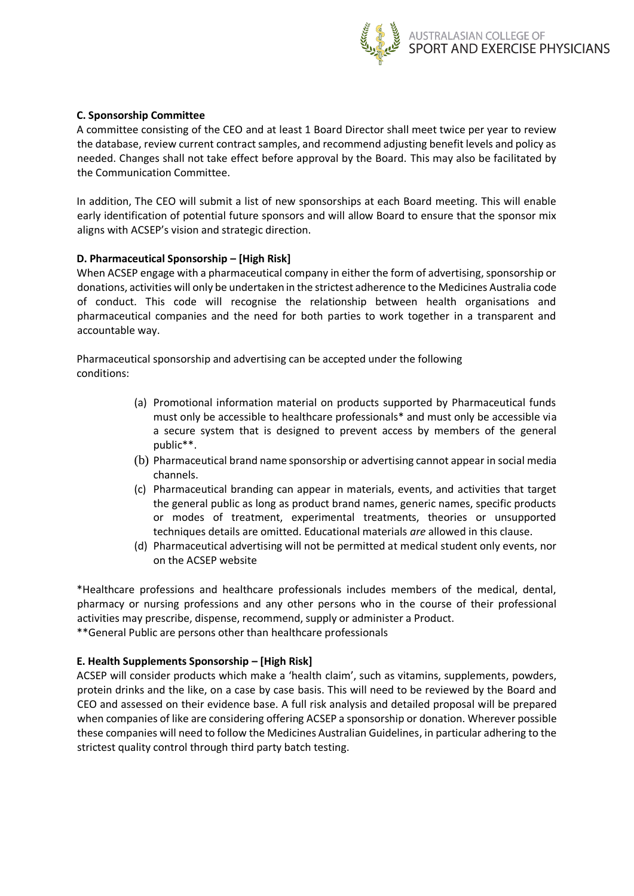

# **C. Sponsorship Committee**

A committee consisting of the CEO and at least 1 Board Director shall meet twice per year to review the database, review current contract samples, and recommend adjusting benefit levels and policy as needed. Changes shall not take effect before approval by the Board. This may also be facilitated by the Communication Committee.

In addition, The CEO will submit a list of new sponsorships at each Board meeting. This will enable early identification of potential future sponsors and will allow Board to ensure that the sponsor mix aligns with ACSEP's vision and strategic direction.

# **D. Pharmaceutical Sponsorship – [High Risk]**

When ACSEP engage with a pharmaceutical company in either the form of advertising, sponsorship or donations, activities will only be undertaken in the strictest adherence to the Medicines Australia code of conduct. This code will recognise the relationship between health organisations and pharmaceutical companies and the need for both parties to work together in a transparent and accountable way.

Pharmaceutical sponsorship and advertising can be accepted under the following conditions:

- (a) Promotional information material on products supported by Pharmaceutical funds must only be accessible to healthcare professionals\* and must only be accessible via a secure system that is designed to prevent access by members of the general public\*\*.
- (b) Pharmaceutical brand name sponsorship or advertising cannot appear in social media channels.
- (c) Pharmaceutical branding can appear in materials, events, and activities that target the general public as long as product brand names, generic names, specific products or modes of treatment, experimental treatments, theories or unsupported techniques details are omitted. Educational materials *are* allowed in this clause.
- (d) Pharmaceutical advertising will not be permitted at medical student only events, nor on the ACSEP website

\*Healthcare professions and healthcare professionals includes members of the medical, dental, pharmacy or nursing professions and any other persons who in the course of their professional activities may prescribe, dispense, recommend, supply or administer a Product. \*\*General Public are persons other than healthcare professionals

# **E. Health Supplements Sponsorship – [High Risk]**

ACSEP will consider products which make a 'health claim', such as vitamins, supplements, powders, protein drinks and the like, on a case by case basis. This will need to be reviewed by the Board and CEO and assessed on their evidence base. A full risk analysis and detailed proposal will be prepared when companies of like are considering offering ACSEP a sponsorship or donation. Wherever possible these companies will need to follow the Medicines Australian Guidelines, in particular adhering to the strictest quality control through third party batch testing.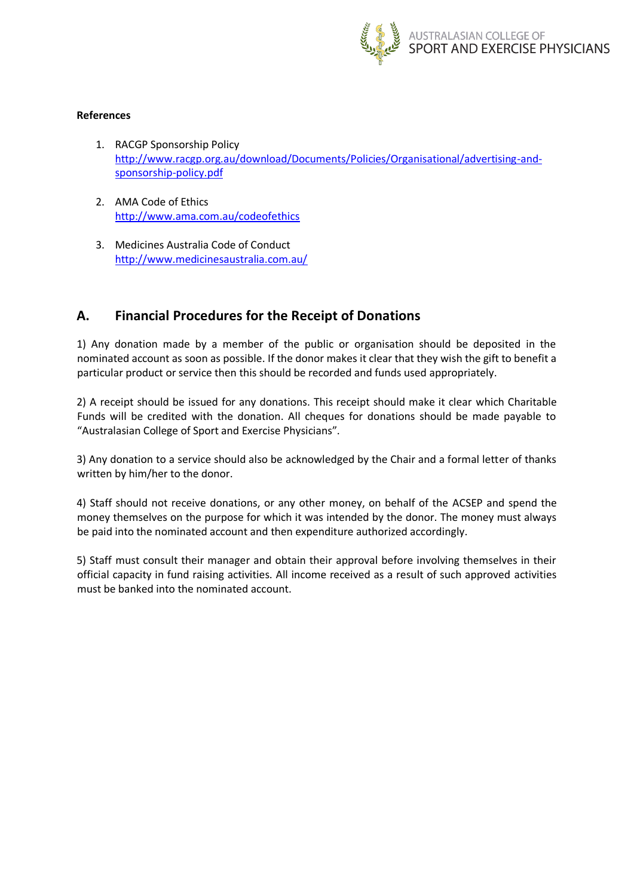

# **References**

- 1. RACGP Sponsorship Policy [http://www.racgp.org.au/download/Documents/Policies/Organisational/advertising-and](http://www.racgp.org.au/download/Documents/Policies/Organisational/advertising-and-sponsorship-policy.pdf)[sponsorship-policy.pdf](http://www.racgp.org.au/download/Documents/Policies/Organisational/advertising-and-sponsorship-policy.pdf)
- 2. AMA Code of Ethics <http://www.ama.com.au/codeofethics>
- 3. Medicines Australia Code of Conduct <http://www.medicinesaustralia.com.au/>

# **A. Financial Procedures for the Receipt of Donations**

1) Any donation made by a member of the public or organisation should be deposited in the nominated account as soon as possible. If the donor makes it clear that they wish the gift to benefit a particular product or service then this should be recorded and funds used appropriately.

2) A receipt should be issued for any donations. This receipt should make it clear which Charitable Funds will be credited with the donation. All cheques for donations should be made payable to "Australasian College of Sport and Exercise Physicians".

3) Any donation to a service should also be acknowledged by the Chair and a formal letter of thanks written by him/her to the donor.

4) Staff should not receive donations, or any other money, on behalf of the ACSEP and spend the money themselves on the purpose for which it was intended by the donor. The money must always be paid into the nominated account and then expenditure authorized accordingly.

5) Staff must consult their manager and obtain their approval before involving themselves in their official capacity in fund raising activities. All income received as a result of such approved activities must be banked into the nominated account.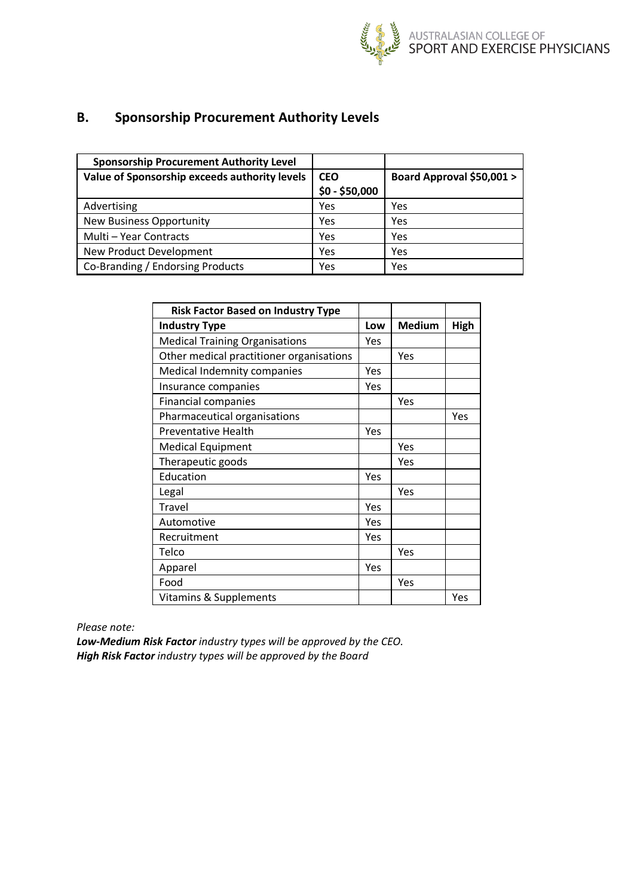

# **B. Sponsorship Procurement Authority Levels**

| <b>Sponsorship Procurement Authority Level</b> |                |                           |
|------------------------------------------------|----------------|---------------------------|
| Value of Sponsorship exceeds authority levels  | <b>CEO</b>     | Board Approval \$50,001 > |
|                                                | $$0 - $50,000$ |                           |
| Advertising                                    | Yes            | Yes                       |
| <b>New Business Opportunity</b>                | Yes            | Yes                       |
| Multi - Year Contracts                         | Yes            | Yes                       |
| New Product Development                        | Yes            | Yes                       |
| Co-Branding / Endorsing Products               | Yes            | Yes                       |

| <b>Risk Factor Based on Industry Type</b> |     |               |      |
|-------------------------------------------|-----|---------------|------|
| <b>Industry Type</b>                      |     | <b>Medium</b> | High |
| <b>Medical Training Organisations</b>     | Yes |               |      |
| Other medical practitioner organisations  |     | Yes           |      |
| Medical Indemnity companies               | Yes |               |      |
| Insurance companies                       | Yes |               |      |
| <b>Financial companies</b>                |     | Yes           |      |
| Pharmaceutical organisations              |     |               | Yes  |
| <b>Preventative Health</b>                | Yes |               |      |
| <b>Medical Equipment</b>                  |     | Yes           |      |
| Therapeutic goods                         |     | Yes           |      |
| Education                                 | Yes |               |      |
| Legal                                     |     | Yes           |      |
| Travel                                    | Yes |               |      |
| Automotive                                | Yes |               |      |
| Recruitment                               | Yes |               |      |
| Telco                                     |     | Yes           |      |
| Apparel                                   | Yes |               |      |
| Food                                      |     | Yes           |      |
| <b>Vitamins &amp; Supplements</b>         |     |               | Yes  |

*Please note:*

*Low-Medium Risk Factor industry types will be approved by the CEO. High Risk Factor industry types will be approved by the Board*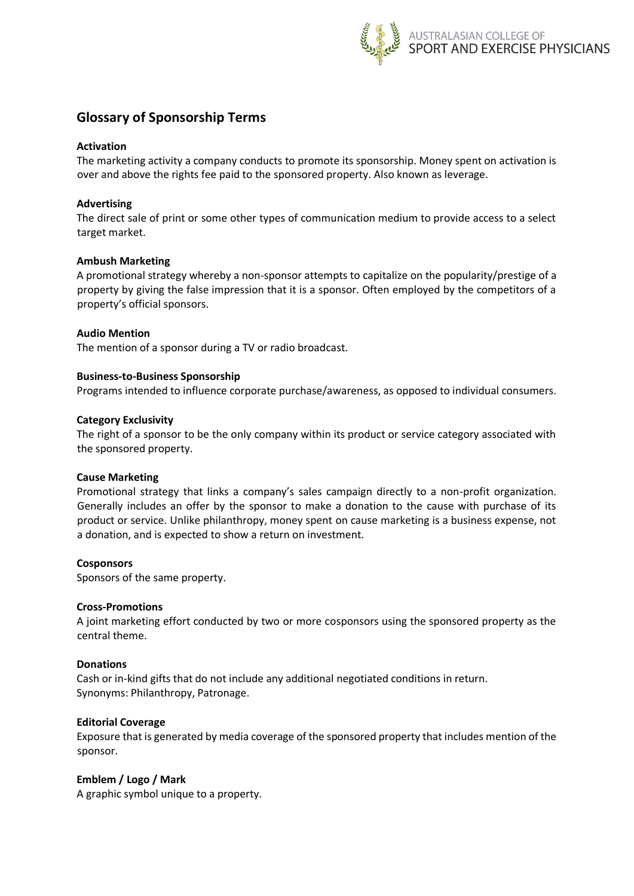

# **Glossary of Sponsorship Terms**

### **Activation**

The marketing activity a company conducts to promote its sponsorship. Money spent on activation is over and above the rights fee paid to the sponsored property. Also known as leverage.

#### **Advertising**

The direct sale of print or some other types of communication medium to provide access to a select target market.

#### **Ambush Marketing**

A promotional strategy whereby a non-sponsor attempts to capitalize on the popularity/prestige of a property by giving the false impression that it is a sponsor. Often employed by the competitors of a property's official sponsors.

#### **Audio Mention**

The mention of a sponsor during a TV or radio broadcast.

#### **Business-to-Business Sponsorship**

Programs intended to influence corporate purchase/awareness, as opposed to individual consumers.

#### **Category Exclusivity**

The right of a sponsor to be the only company within its product or service category associated with the sponsored property.

#### **Cause Marketing**

Promotional strategy that links a company's sales campaign directly to a non-profit organization. Generally includes an offer by the sponsor to make a donation to the cause with purchase of its product or service. Unlike philanthropy, money spent on cause marketing is a business expense, not a donation, and is expected to show a return on investment.

#### **Cosponsors**

Sponsors of the same property.

#### **Cross-Promotions**

A joint marketing effort conducted by two or more cosponsors using the sponsored property as the central theme.

#### **Donations**

Cash or in-kind gifts that do not include any additional negotiated conditions in return. Synonyms: Philanthropy, Patronage.

#### **Editorial Coverage**

Exposure that is generated by media coverage of the sponsored property that includes mention of the sponsor.

#### **Emblem / Logo / Mark**

A graphic symbol unique to a property.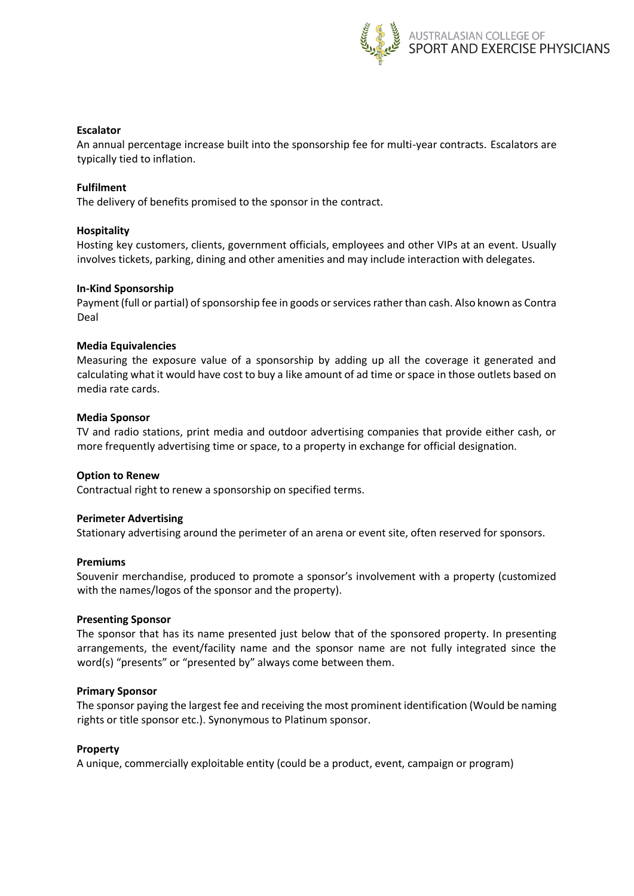

### **Escalator**

An annual percentage increase built into the sponsorship fee for multi-year contracts. Escalators are typically tied to inflation.

#### **Fulfilment**

The delivery of benefits promised to the sponsor in the contract.

#### **Hospitality**

Hosting key customers, clients, government officials, employees and other VIPs at an event. Usually involves tickets, parking, dining and other amenities and may include interaction with delegates.

#### **In-Kind Sponsorship**

Payment (full or partial) of sponsorship fee in goods or services rather than cash. Also known as Contra Deal

#### **Media Equivalencies**

Measuring the exposure value of a sponsorship by adding up all the coverage it generated and calculating what it would have cost to buy a like amount of ad time or space in those outlets based on media rate cards.

#### **Media Sponsor**

TV and radio stations, print media and outdoor advertising companies that provide either cash, or more frequently advertising time or space, to a property in exchange for official designation.

#### **Option to Renew**

Contractual right to renew a sponsorship on specified terms.

#### **Perimeter Advertising**

Stationary advertising around the perimeter of an arena or event site, often reserved for sponsors.

#### **Premiums**

Souvenir merchandise, produced to promote a sponsor's involvement with a property (customized with the names/logos of the sponsor and the property).

#### **Presenting Sponsor**

The sponsor that has its name presented just below that of the sponsored property. In presenting arrangements, the event/facility name and the sponsor name are not fully integrated since the word(s) "presents" or "presented by" always come between them.

#### **Primary Sponsor**

The sponsor paying the largest fee and receiving the most prominent identification (Would be naming rights or title sponsor etc.). Synonymous to Platinum sponsor.

#### **Property**

A unique, commercially exploitable entity (could be a product, event, campaign or program)